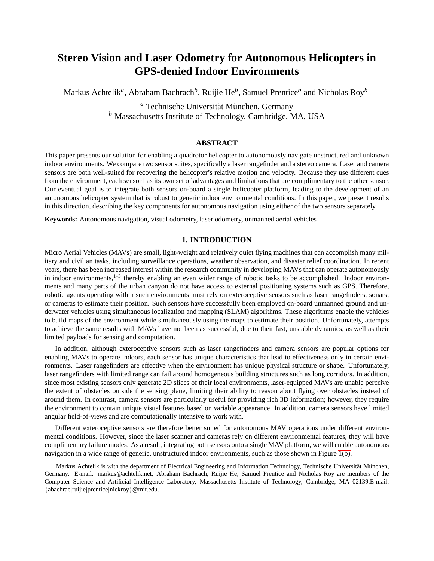# **Stereo Vision and Laser Odometry for Autonomous Helicopters in GPS-denied Indoor Environments**

Markus Achtelik*<sup>a</sup>* , Abraham Bachrach*<sup>b</sup>* , Ruijie He*<sup>b</sup>* , Samuel Prentice*<sup>b</sup>* and Nicholas Roy*<sup>b</sup>*

<sup>*a*</sup> Technische Universität München, Germany *<sup>b</sup>* Massachusetts Institute of Technology, Cambridge, MA, USA

# **ABSTRACT**

This paper presents our solution for enabling a quadrotor helicopter to autonomously navigate unstructured and unknown indoor environments. We compare two sensor suites, specifically a laser rangefinder and a stereo camera. Laser and camera sensors are both well-suited for recovering the helicopter's relative motion and velocity. Because they use different cues from the environment, each sensor has its own set of advantages and limitations that are complimentary to the other sensor. Our eventual goal is to integrate both sensors on-board a single helicopter platform, leading to the development of an autonomous helicopter system that is robust to generic indoor environmental conditions. In this paper, we present results in this direction, describing the key components for autonomous navigation using either of the two sensors separately.

<span id="page-0-0"></span>**Keywords:** Autonomous navigation, visual odometry, laser odometry, unmanned aerial vehicles

# **1. INTRODUCTION**

Micro Aerial Vehicles (MAVs) are small, light-weight and relatively quiet flying machines that can accomplish many military and civilian tasks, including surveillance operations, weather observation, and disaster relief coordination. In recent years, there has been increased interest within the research community in developing MAVs that can operate autonomously in indoor environments, $1-3$  thereby enabling an even wider range of robotic tasks to be accomplished. Indoor environments and many parts of the urban canyon do not have access to external positioning systems such as GPS. Therefore, robotic agents operating within such environments must rely on exteroceptive sensors such as laser rangefinders, sonars, or cameras to estimate their position. Such sensors have successfully been employed on-board unmanned ground and underwater vehicles using simultaneous localization and mapping (SLAM) algorithms. These algorithms enable the vehicles to build maps of the environment while simultaneously using the maps to estimate their position. Unfortunately, attempts to achieve the same results with MAVs have not been as successful, due to their fast, unstable dynamics, as well as their limited payloads for sensing and computation.

In addition, although exteroceptive sensors such as laser rangefinders and camera sensors are popular options for enabling MAVs to operate indoors, each sensor has unique characteristics that lead to effectiveness only in certain environments. Laser rangefinders are effective when the environment has unique physical structure or shape. Unfortunately, laser rangefinders with limited range can fail around homogeneous building structures such as long corridors. In addition, since most existing sensors only generate 2D slices of their local environments, laser-equipped MAVs are unable perceive the extent of obstacles outside the sensing plane, limiting their ability to reason about flying over obstacles instead of around them. In contrast, camera sensors are particularly useful for providing rich 3D information; however, they require the environment to contain unique visual features based on variable appearance. In addition, camera sensors have limited angular field-of-views and are computationally intensive to work with.

Different exteroceptive sensors are therefore better suited for autonomous MAV operations under different environmental conditions. However, since the laser scanner and cameras rely on different environmental features, they will have complimentary failure modes. As a result, integrating both sensors onto a single MAV platform, we will enable autonomous navigation in a wide range of generic, unstructured indoor environments, such as those shown in Figure [1\(b\).](#page-1-0)

Markus Achtelik is with the department of Electrical Engineering and Information Technology, Technische Universität München, Germany. E-mail: markus@achtelik.net; Abraham Bachrach, Ruijie He, Samuel Prentice and Nicholas Roy are members of the Computer Science and Artificial Intelligence Laboratory, Massachusetts Institute of Technology, Cambridge, MA 02139.E-mail: {abachrac|ruijie|prentice|nickroy}@mit.edu.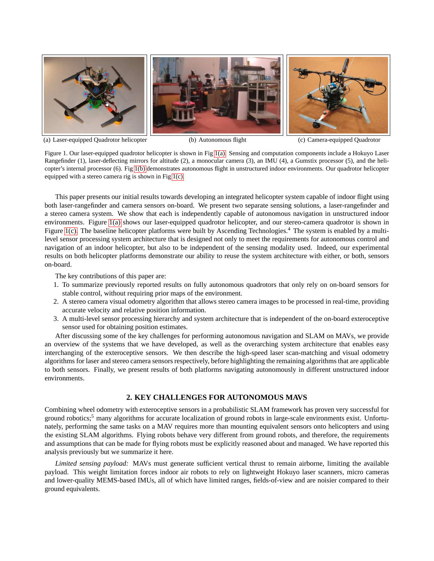

(a) Laser-equipped Quadrotor helicopter (b) Autonomous flight (c) Camera-equipped Quadrotor

<span id="page-1-2"></span>

<span id="page-1-1"></span><span id="page-1-0"></span>Figure 1. Our laser-equipped quadrotor helicopter is shown in Fig [1\(a\).](#page-1-1) Sensing and computation components include a Hokuyo Laser Rangefinder (1), laser-deflecting mirrors for altitude (2), a monocular camera (3), an IMU (4), a Gumstix processor (5), and the helicopter's internal processor (6). Fig [1\(b\)](#page-1-0) demonstrates autonomous flight in unstructured indoor environments. Our quadrotor helicopter equipped with a stereo camera rig is shown in Fig [1\(c\).](#page-1-2)

This paper presents our initial results towards developing an integrated helicopter system capable of indoor flight using both laser-rangefinder and camera sensors on-board. We present two separate sensing solutions, a laser-rangefinder and a stereo camera system. We show that each is independently capable of autonomous navigation in unstructured indoor environments. Figure [1\(a\)](#page-1-1) shows our laser-equipped quadrotor helicopter, and our stereo-camera quadrotor is shown in Figure [1\(c\).](#page-1-2) The baseline helicopter platforms were built by Ascending Technologies.<sup>4</sup> The system is enabled by a multilevel sensor processing system architecture that is designed not only to meet the requirements for autonomous control and navigation of an indoor helicopter, but also to be independent of the sensing modality used. Indeed, our experimental results on both helicopter platforms demonstrate our ability to reuse the system architecture with either, or both, sensors on-board.

The key contributions of this paper are:

- 1. To summarize previously reported results on fully autonomous quadrotors that only rely on on-board sensors for stable control, without requiring prior maps of the environment.
- 2. A stereo camera visual odometry algorithm that allows stereo camera images to be processed in real-time, providing accurate velocity and relative position information.
- 3. A multi-level sensor processing hierarchy and system architecture that is independent of the on-board exteroceptive sensor used for obtaining position estimates.

After discussing some of the key challenges for performing autonomous navigation and SLAM on MAVs, we provide an overview of the systems that we have developed, as well as the overarching system architecture that enables easy interchanging of the exteroceptive sensors. We then describe the high-speed laser scan-matching and visual odometry algorithms for laser and stereo camera sensors respectively, before highlighting the remaining algorithms that are applicable to both sensors. Finally, we present results of both platforms navigating autonomously in different unstructured indoor environments.

# **2. KEY CHALLENGES FOR AUTONOMOUS MAVS**

<span id="page-1-3"></span>Combining wheel odometry with exteroceptive sensors in a probabilistic SLAM framework has proven very successful for ground robotics;<sup>5</sup> many algorithms for accurate localization of ground robots in large-scale environments exist. Unfortunately, performing the same tasks on a MAV requires more than mounting equivalent sensors onto helicopters and using the existing SLAM algorithms. Flying robots behave very different from ground robots, and therefore, the requirements and assumptions that can be made for flying robots must be explicitly reasoned about and managed. We have reported this analysis previously but we summarize it here.

*Limited sensing payload:* MAVs must generate sufficient vertical thrust to remain airborne, limiting the available payload. This weight limitation forces indoor air robots to rely on lightweight Hokuyo laser scanners, micro cameras and lower-quality MEMS-based IMUs, all of which have limited ranges, fields-of-view and are noisier compared to their ground equivalents.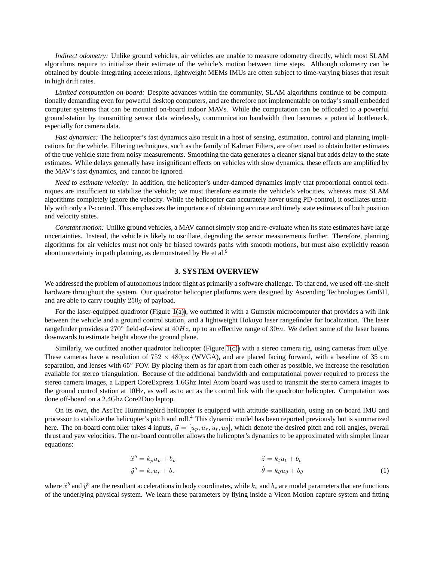*Indirect odometry:* Unlike ground vehicles, air vehicles are unable to measure odometry directly, which most SLAM algorithms require to initialize their estimate of the vehicle's motion between time steps. Although odometry can be obtained by double-integrating accelerations, lightweight MEMs IMUs are often subject to time-varying biases that result in high drift rates.

*Limited computation on-board:* Despite advances within the community, SLAM algorithms continue to be computationally demanding even for powerful desktop computers, and are therefore not implementable on today's small embedded computer systems that can be mounted on-board indoor MAVs. While the computation can be offloaded to a powerful ground-station by transmitting sensor data wirelessly, communication bandwidth then becomes a potential bottleneck, especially for camera data.

*Fast dynamics:* The helicopter's fast dynamics also result in a host of sensing, estimation, control and planning implications for the vehicle. Filtering techniques, such as the family of Kalman Filters, are often used to obtain better estimates of the true vehicle state from noisy measurements. Smoothing the data generates a cleaner signal but adds delay to the state estimates. While delays generally have insignificant effects on vehicles with slow dynamics, these effects are amplified by the MAV's fast dynamics, and cannot be ignored.

*Need to estimate velocity:* In addition, the helicopter's under-damped dynamics imply that proportional control techniques are insufficient to stabilize the vehicle; we must therefore estimate the vehicle's velocities, whereas most SLAM algorithms completely ignore the velocity. While the helicopter can accurately hover using PD-control, it oscillates unstably with only a P-control. This emphasizes the importance of obtaining accurate and timely state estimates of both position and velocity states.

*Constant motion:* Unlike ground vehicles, a MAV cannot simply stop and re-evaluate when its state estimates have large uncertainties. Instead, the vehicle is likely to oscillate, degrading the sensor measurements further. Therefore, planning algorithms for air vehicles must not only be biased towards paths with smooth motions, but must also explicitly reason about uncertainty in path planning, as demonstrated by He et al.<sup>9</sup>

#### **3. SYSTEM OVERVIEW**

We addressed the problem of autonomous indoor flight as primarily a software challenge. To that end, we used off-the-shelf hardware throughout the system. Our quadrotor helicopter platforms were designed by Ascending Technologies GmBH, and are able to carry roughly 250g of payload.

For the laser-equipped quadrotor (Figure [1\(a\)\)](#page-1-1), we outfitted it with a Gumstix microcomputer that provides a wifi link between the vehicle and a ground control station, and a lightweight Hokuyo laser rangefinder for localization. The laser rangefinder provides a 270° field-of-view at  $40Hz$ , up to an effective range of  $30m$ . We deflect some of the laser beams downwards to estimate height above the ground plane.

Similarly, we outfitted another quadrotor helicopter (Figure [1\(c\)\)](#page-1-2) with a stereo camera rig, using cameras from uEye. These cameras have a resolution of  $752 \times 480\text{px}$  (WVGA), and are placed facing forward, with a baseline of 35 cm separation, and lenses with 65° FOV. By placing them as far apart from each other as possible, we increase the resolution available for stereo triangulation. Because of the additional bandwidth and computational power required to process the stereo camera images, a Lippert CoreExpress 1.6Ghz Intel Atom board was used to transmit the stereo camera images to the ground control station at 10Hz, as well as to act as the control link with the quadrotor helicopter. Computation was done off-board on a 2.4Ghz Core2Duo laptop.

On its own, the AscTec Hummingbird helicopter is equipped with attitude stabilization, using an on-board IMU and processor to stabilize the helicopter's pitch and roll.<sup>4</sup> This dynamic model has been reported previously but is summarized here. The on-board controller takes 4 inputs,  $\vec{u} = [u_p, u_r, u_t, u_\theta]$ , which denote the desired pitch and roll angles, overall thrust and yaw velocities. The on-board controller allows the helicopter's dynamics to be approximated with simpler linear equations:

<span id="page-2-0"></span>
$$
\ddot{x}^b = k_p u_p + b_p
$$
  
\n
$$
\ddot{y}^b = k_r u_r + b_r
$$
  
\n
$$
\ddot{y}^b = k_r u_r + b_r
$$
  
\n
$$
\dot{\theta} = k_\theta u_\theta + b_\theta
$$
\n(1)

where  $\ddot{x}^b$  and  $\ddot{y}^b$  are the resultant accelerations in body coordinates, while  $k_*$  and  $b_*$  are model parameters that are functions of the underlying physical system. We learn these parameters by flying inside a Vicon Motion capture system and fitting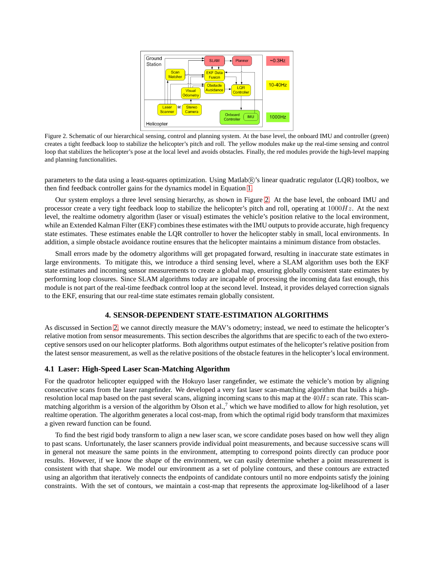

<span id="page-3-0"></span>Figure 2. Schematic of our hierarchical sensing, control and planning system. At the base level, the onboard IMU and controller (green) creates a tight feedback loop to stabilize the helicopter's pitch and roll. The yellow modules make up the real-time sensing and control loop that stabilizes the helicopter's pose at the local level and avoids obstacles. Finally, the red modules provide the high-level mapping and planning functionalities.

parameters to the data using a least-squares optimization. Using Matlab(R)'s linear quadratic regulator (LQR) toolbox, we then find feedback controller gains for the dynamics model in Equation [1.](#page-2-0)

Our system employs a three level sensing hierarchy, as shown in Figure [2.](#page-3-0) At the base level, the onboard IMU and processor create a very tight feedback loop to stabilize the helicopter's pitch and roll, operating at  $1000Hz$ . At the next level, the realtime odometry algorithm (laser or visual) estimates the vehicle's position relative to the local environment, while an Extended Kalman Filter (EKF) combines these estimates with the IMU outputs to provide accurate, high frequency state estimates. These estimates enable the LQR controller to hover the helicopter stably in small, local environments. In addition, a simple obstacle avoidance routine ensures that the helicopter maintains a minimum distance from obstacles.

Small errors made by the odometry algorithms will get propagated forward, resulting in inaccurate state estimates in large environments. To mitigate this, we introduce a third sensing level, where a SLAM algorithm uses both the EKF state estimates and incoming sensor measurements to create a global map, ensuring globally consistent state estimates by performing loop closures. Since SLAM algorithms today are incapable of processing the incoming data fast enough, this module is not part of the real-time feedback control loop at the second level. Instead, it provides delayed correction signals to the EKF, ensuring that our real-time state estimates remain globally consistent.

# **4. SENSOR-DEPENDENT STATE-ESTIMATION ALGORITHMS**

As discussed in Section [2,](#page-1-3) we cannot directly measure the MAV's odometry; instead, we need to estimate the helicopter's relative motion from sensor measurements. This section describes the algorithms that are specific to each of the two exteroceptive sensors used on our helicopter platforms. Both algorithms output estimates of the helicopter's relative position from the latest sensor measurement, as well as the relative positions of the obstacle features in the helicopter's local environment.

#### **4.1 Laser: High-Speed Laser Scan-Matching Algorithm**

For the quadrotor helicopter equipped with the Hokuyo laser rangefinder, we estimate the vehicle's motion by aligning consecutive scans from the laser rangefinder. We developed a very fast laser scan-matching algorithm that builds a highresolution local map based on the past several scans, aligning incoming scans to this map at the  $40Hz$  scan rate. This scanmatching algorithm is a version of the algorithm by Olson et al.,<sup>7</sup> which we have modified to allow for high resolution, yet realtime operation. The algorithm generates a local cost-map, from which the optimal rigid body transform that maximizes a given reward function can be found.

To find the best rigid body transform to align a new laser scan, we score candidate poses based on how well they align to past scans. Unfortunately, the laser scanners provide individual point measurements, and because successive scans will in general not measure the same points in the environment, attempting to correspond points directly can produce poor results. However, if we know the *shape* of the environment, we can easily determine whether a point measurement is consistent with that shape. We model our environment as a set of polyline contours, and these contours are extracted using an algorithm that iteratively connects the endpoints of candidate contours until no more endpoints satisfy the joining constraints. With the set of contours, we maintain a cost-map that represents the approximate log-likelihood of a laser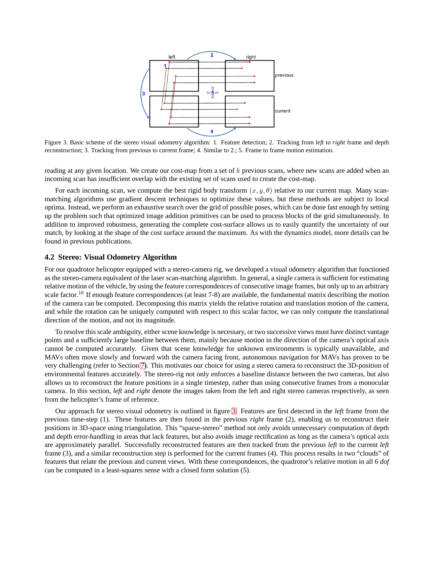

<span id="page-4-0"></span>Figure 3. Basic scheme of the stereo visual odometry algorithm: 1. Feature detection; 2. Tracking from *left* to *right* frame and depth reconstruction; 3. Tracking from previous to current frame; 4. Similar to 2.; 5. Frame to frame motion estimation.

reading at any given location. We create our cost-map from a set of  $k$  previous scans, where new scans are added when an incoming scan has insufficient overlap with the existing set of scans used to create the cost-map.

For each incoming scan, we compute the best rigid body transform  $(x, y, \theta)$  relative to our current map. Many scanmatching algorithms use gradient descent techniques to optimize these values, but these methods are subject to local optima. Instead, we perform an exhaustive search over the grid of possible poses, which can be done fast enough by setting up the problem such that optimized image addition primitives can be used to process blocks of the grid simultaneously. In addition to improved robustness, generating the complete cost-surface allows us to easily quantify the uncertainty of our match, by looking at the shape of the cost surface around the maximum. As with the dynamics model, more details can be found in previous publications.

## **4.2 Stereo: Visual Odometry Algorithm**

For our quadrotor helicopter equipped with a stereo-camera rig, we developed a visual odometry algorithm that functioned as the stereo-camera equivalent of the laser scan-matching algorithm. In general, a single camera is sufficient for estimating relative motion of the vehicle, by using the feature correspondences of consecutive image frames, but only up to an arbitrary scale factor.<sup>10</sup> If enough feature correspondences (at least  $7-8$ ) are available, the fundamental matrix describing the motion of the camera can be computed. Decomposing this matrix yields the relative rotation and translation motion of the camera, and while the rotation can be uniquely computed with respect to this scalar factor, we can only compute the translational direction of the motion, and not its magnitude.

To resolve this scale ambiguity, either scene knowledge is necessary, or two successive views must have distinct vantage points and a sufficiently large baseline between them, mainly because motion in the direction of the camera's optical axis cannot be computed accurately. Given that scene knowledge for unknown environments is typically unavailable, and MAVs often move slowly and forward with the camera facing front, autonomous navigation for MAVs has proven to be very challenging (refer to Section [7\)](#page-8-0). This motivates our choice for using a stereo camera to reconstruct the 3D-position of environmental features accurately. The stereo-rig not only enforces a baseline distance between the two cameras, but also allows us to reconstruct the feature positions in a single timestep, rather than using consecutive frames from a monocular camera. In this section, *left* and *right* denote the images taken from the left and right stereo cameras respectively, as seen from the helicopter's frame of reference.

Our approach for stereo visual odometry is outlined in figure [3.](#page-4-0) Features are first detected in the *left* frame from the previous time-step (1). These features are then found in the previous *right* frame (2), enabling us to reconstruct their positions in 3D-space using triangulation. This "sparse-stereo" method not only avoids unnecessary computation of depth and depth error-handling in areas that lack features, but also avoids image rectification as long as the camera's optical axis are approximately parallel. Successfully reconstructed features are then tracked from the previous *left* to the current *left* frame (3), and a similar reconstruction step is performed for the current frames (4). This process results in two "clouds" of features that relate the previous and current views. With these correspondences, the quadrotor's relative motion in all 6 *dof* can be computed in a least-squares sense with a closed form solution (5).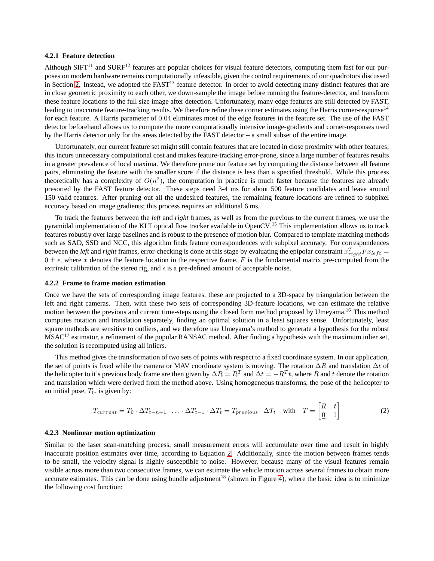#### <span id="page-5-2"></span>**4.2.1 Feature detection**

Although SIFT<sup>11</sup> and SURF<sup>12</sup> features are popular choices for visual feature detectors, computing them fast for our purposes on modern hardware remains computationally infeasible, given the control requirements of our quadrotors discussed in Section [2.](#page-1-3) Instead, we adopted the  $FAST^{13}$  feature detector. In order to avoid detecting many distinct features that are in close geometric proximity to each other, we down-sample the image before running the feature-detector, and transform these feature locations to the full size image after detection. Unfortunately, many edge features are still detected by FAST, leading to inaccurate feature-tracking results. We therefore refine these corner estimates using the Harris corner-response<sup>14</sup> for each feature. A Harris parameter of 0.04 eliminates most of the edge features in the feature set. The use of the FAST detector beforehand allows us to compute the more computationally intensive image-gradients and corner-responses used by the Harris detector only for the areas detected by the FAST detector – a small subset of the entire image.

Unfortunately, our current feature set might still contain features that are located in close proximity with other features; this incurs unnecessary computational cost and makes feature-tracking error-prone, since a large number of features results in a greater prevalence of local maxima. We therefore prune our feature set by computing the distance between all feature pairs, eliminating the feature with the smaller score if the distance is less than a specified threshold. While this process theoretically has a complexity of  $O(n^2)$ , the computation in practice is much faster because the features are already presorted by the FAST feature detector. These steps need 3-4 ms for about 500 feature candidates and leave around 150 valid features. After pruning out all the undesired features, the remaining feature locations are refined to subpixel accuracy based on image gradients; this process requires an additional 6 ms.

To track the features between the *left* and *right* frames, as well as from the previous to the current frames, we use the pyramidal implementation of the KLT optical flow tracker available in OpenCV.<sup>15</sup> This implementation allows us to track features robustly over large baselines and is robust to the presence of motion blur. Compared to template matching methods such as SAD, SSD and NCC, this algorithm finds feature correspondences with subpixel accuracy. For correspondences between the *left* and *right* frames, error-checking is done at this stage by evaluating the epipolar constraint  $x_{right}^T F x_{left} =$  $0 \pm \epsilon$ , where x denotes the feature location in the respective frame, F is the fundamental matrix pre-computed from the extrinsic calibration of the stereo rig, and  $\epsilon$  is a pre-defined amount of acceptable noise.

#### <span id="page-5-1"></span>**4.2.2 Frame to frame motion estimation**

Once we have the sets of corresponding image features, these are projected to a 3D-space by triangulation between the left and right cameras. Then, with these two sets of corresponding 3D-feature locations, we can estimate the relative motion between the previous and current time-steps using the closed form method proposed by Umeyama.<sup>16</sup> This method computes rotation and translation separately, finding an optimal solution in a least squares sense. Unfortunately, least square methods are sensitive to outliers, and we therefore use Umeyama's method to generate a hypothesis for the robust MSAC<sup>17</sup> estimator, a refinement of the popular RANSAC method. After finding a hypothesis with the maximum inlier set, the solution is recomputed using all inliers.

This method gives the transformation of two sets of points with respect to a fixed coordinate system. In our application, the set of points is fixed while the camera or MAV coordinate system is moving. The rotation  $\Delta R$  and translation  $\Delta t$  of the helicopter to it's previous body frame are then given by  $\Delta R = R^T$  and  $\Delta t = -R^T t$ , where  $R$  and  $t$  denote the rotation and translation which were derived from the method above. Using homogeneous transforms, the pose of the helicopter to an initial pose,  $T_0$ , is given by:

$$
T_{current} = T_0 \cdot \Delta T_{t-n+1} \cdot \ldots \cdot \Delta T_{t-1} \cdot \Delta T_t = T_{previous} \cdot \Delta T_t \quad \text{with} \quad T = \begin{bmatrix} R & t \\ \underline{0} & 1 \end{bmatrix}
$$
 (2)

#### <span id="page-5-0"></span>**4.2.3 Nonlinear motion optimization**

Similar to the laser scan-matching process, small measurement errors will accumulate over time and result in highly inaccurate position estimates over time, according to Equation [2.](#page-5-0) Additionally, since the motion between frames tends to be small, the velocity signal is highly susceptible to noise. However, because many of the visual features remain visible across more than two consecutive frames, we can estimate the vehicle motion across several frames to obtain more accurate estimates. This can be done using bundle adjustment<sup>18</sup> (shown in Figure [4\)](#page-6-0), where the basic idea is to minimize the following cost function: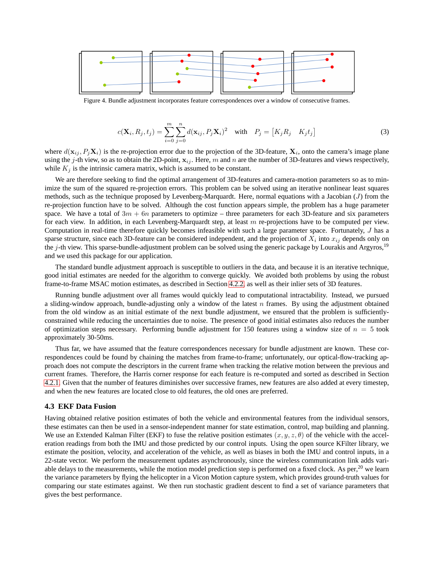

<span id="page-6-0"></span>Figure 4. Bundle adjustment incorporates feature correspondences over a window of consecutive frames.

$$
c(\mathbf{X}_i, R_j, t_j) = \sum_{i=0}^m \sum_{j=0}^n d(\mathbf{x}_{ij}, P_j \mathbf{X}_i)^2 \quad \text{with} \quad P_j = [K_j R_j \quad K_j t_j]
$$
(3)

where  $d(\mathbf{x}_{ij}, P_j \mathbf{X}_i)$  is the re-projection error due to the projection of the 3D-feature,  $\mathbf{X}_i$ , onto the camera's image plane using the j-th view, so as to obtain the 2D-point,  $x_{ij}$ . Here, m and n are the number of 3D-features and views respectively, while  $K_i$  is the intrinsic camera matrix, which is assumed to be constant.

We are therefore seeking to find the optimal arrangement of 3D-features and camera-motion parameters so as to minimize the sum of the squared re-projection errors. This problem can be solved using an iterative nonlinear least squares methods, such as the technique proposed by Levenberg-Marquardt. Here, normal equations with a Jacobian  $(J)$  from the re-projection function have to be solved. Although the cost function appears simple, the problem has a huge parameter space. We have a total of  $3m + 6n$  parameters to optimize – three parameters for each 3D-feature and six parameters for each view. In addition, in each Levenberg-Marquardt step, at least  $m$  re-projections have to be computed per view. Computation in real-time therefore quickly becomes infeasible with such a large parameter space. Fortunately, J has a sparse structure, since each 3D-feature can be considered independent, and the projection of  $X_i$  into  $x_{ij}$  depends only on the j-th view. This sparse-bundle-adjustment problem can be solved using the generic package by Lourakis and Argyros,<sup>19</sup> and we used this package for our application.

The standard bundle adjustment approach is susceptible to outliers in the data, and because it is an iterative technique, good initial estimates are needed for the algorithm to converge quickly. We avoided both problems by using the robust frame-to-frame MSAC motion estimates, as described in Section [4.2.2,](#page-5-1) as well as their inlier sets of 3D features.

Running bundle adjustment over all frames would quickly lead to computational intractability. Instead, we pursued a sliding-window approach, bundle-adjusting only a window of the latest  $n$  frames. By using the adjustment obtained from the old window as an initial estimate of the next bundle adjustment, we ensured that the problem is sufficientlyconstrained while reducing the uncertainties due to noise. The presence of good initial estimates also reduces the number of optimization steps necessary. Performing bundle adjustment for 150 features using a window size of  $n = 5$  took approximately 30-50ms.

Thus far, we have assumed that the feature correspondences necessary for bundle adjustment are known. These correspondences could be found by chaining the matches from frame-to-frame; unfortunately, our optical-flow-tracking approach does not compute the descriptors in the current frame when tracking the relative motion between the previous and current frames. Therefore, the Harris corner response for each feature is re-computed and sorted as described in Section [4.2.1.](#page-5-2) Given that the number of features diminishes over successive frames, new features are also added at every timestep, and when the new features are located close to old features, the old ones are preferred.

# **4.3 EKF Data Fusion**

Having obtained relative position estimates of both the vehicle and environmental features from the individual sensors, these estimates can then be used in a sensor-independent manner for state estimation, control, map building and planning. We use an Extended Kalman Filter (EKF) to fuse the relative position estimates  $(x, y, z, \theta)$  of the vehicle with the acceleration readings from both the IMU and those predicted by our control inputs. Using the open source KFilter library, we estimate the position, velocity, and acceleration of the vehicle, as well as biases in both the IMU and control inputs, in a 22-state vector. We perform the measurement updates asynchronously, since the wireless communication link adds variable delays to the measurements, while the motion model prediction step is performed on a fixed clock. As per,  $^{20}$  we learn the variance parameters by flying the helicopter in a Vicon Motion capture system, which provides ground-truth values for comparing our state estimates against. We then run stochastic gradient descent to find a set of variance parameters that gives the best performance.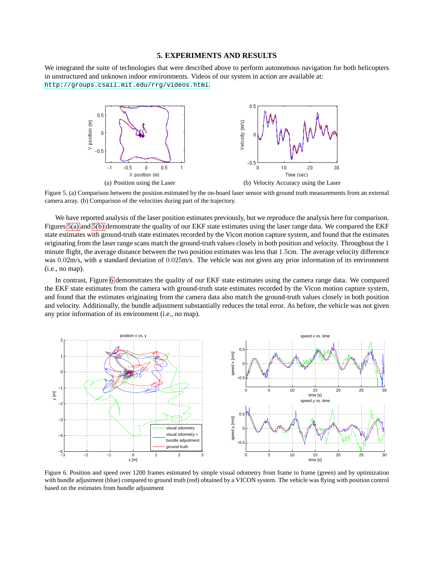#### <span id="page-7-1"></span>**5. EXPERIMENTS AND RESULTS**

We integrated the suite of technologies that were described above to perform autonomous navigation for both helicopters in unstructured and unknown indoor environments. Videos of our system in action are available at: <http://groups.csail.mit.edu/rrg/videos.html>.



<span id="page-7-0"></span>Figure 5. (a) Comparison between the position estimated by the on-board laser sensor with ground truth measurements from an external camera array. (b) Comparison of the velocities during part of the trajectory.

We have reported analysis of the laser position estimates previously, but we reproduce the analysis here for comparison. Figures [5\(a\)](#page-7-0) and [5\(b\)](#page-7-1) demonstrate the quality of our EKF state estimates using the laser range data. We compared the EKF state estimates with ground-truth state estimates recorded by the Vicon motion capture system, and found that the estimates originating from the laser range scans match the ground-truth values closely in both position and velocity. Throughout the 1 minute flight, the average distance between the two position estimates was less that 1.5cm. The average velocity difference was 0.02m/s, with a standard deviation of 0.025m/s. The vehicle was not given any prior information of its environment (i.e., no map).

In contrast, Figure [6](#page-7-2) demonstrates the quality of our EKF state estimates using the camera range data. We compared the EKF state estimates from the camera with ground-truth state estimates recorded by the Vicon motion capture system, and found that the estimates originating from the camera data also match the ground-truth values closely in both position and velocity. Additionally, the bundle adjustment substantially reduces the total error. As before, the vehicle was not given any prior information of its environment (i.e., no map).



<span id="page-7-2"></span>Figure 6. Position and speed over 1200 frames estimated by simple visual odometry from frame to frame (green) and by optimization with bundle adjustment (blue) compared to ground truth (red) obtained by a VICON system. The vehicle was flying with position control based on the estimates from bundle adjustment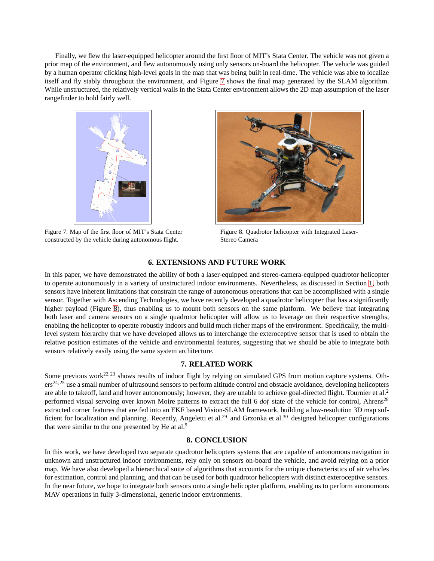Finally, we flew the laser-equipped helicopter around the first floor of MIT's Stata Center. The vehicle was not given a prior map of the environment, and flew autonomously using only sensors on-board the helicopter. The vehicle was guided by a human operator clicking high-level goals in the map that was being built in real-time. The vehicle was able to localize itself and fly stably throughout the environment, and Figure [7](#page-8-1) shows the final map generated by the SLAM algorithm. While unstructured, the relatively vertical walls in the Stata Center environment allows the 2D map assumption of the laser rangefinder to hold fairly well.



<span id="page-8-1"></span>Figure 7. Map of the first floor of MIT's Stata Center constructed by the vehicle during autonomous flight.



Figure 8. Quadrotor helicopter with Integrated Laser-Stereo Camera

# <span id="page-8-2"></span>**6. EXTENSIONS AND FUTURE WORK**

In this paper, we have demonstrated the ability of both a laser-equipped and stereo-camera-equipped quadrotor helicopter to operate autonomously in a variety of unstructured indoor environments. Nevertheless, as discussed in Section [1,](#page-0-0) both sensors have inherent limitations that constrain the range of autonomous operations that can be accomplished with a single sensor. Together with Ascending Technologies, we have recently developed a quadrotor helicopter that has a significantly higher payload (Figure [8\)](#page-8-2), thus enabling us to mount both sensors on the same platform. We believe that integrating both laser and camera sensors on a single quadrotor helicopter will allow us to leverage on their respective strengths, enabling the helicopter to operate robustly indoors and build much richer maps of the environment. Specifically, the multilevel system hierarchy that we have developed allows us to interchange the exteroceptive sensor that is used to obtain the relative position estimates of the vehicle and environmental features, suggesting that we should be able to integrate both sensors relatively easily using the same system architecture.

# **7. RELATED WORK**

<span id="page-8-0"></span>Some previous work<sup>22, 23</sup> shows results of indoor flight by relying on simulated GPS from motion capture systems. Oth $ers^{24,25}$  use a small number of ultrasound sensors to perform altitude control and obstacle avoidance, developing helicopters are able to takeoff, land and hover autonomously; however, they are unable to achieve goal-directed flight. Tournier et al. $<sup>2</sup>$ </sup> performed visual servoing over known Moire patterns to extract the full 6 *dof* state of the vehicle for control, Ahrens<sup>28</sup> extracted corner features that are fed into an EKF based Vision-SLAM framework, building a low-resolution 3D map sufficient for localization and planning. Recently, Angeletti et al.<sup>29</sup> and Grzonka et al.<sup>30</sup> designed helicopter configurations that were similar to the one presented by He at  $al$ <sup>9</sup>.

# **8. CONCLUSION**

In this work, we have developed two separate quadrotor helicopters systems that are capable of autonomous navigation in unknown and unstructured indoor environments, rely only on sensors on-board the vehicle, and avoid relying on a prior map. We have also developed a hierarchical suite of algorithms that accounts for the unique characteristics of air vehicles for estimation, control and planning, and that can be used for both quadrotor helicopters with distinct exteroceptive sensors. In the near future, we hope to integrate both sensors onto a single helicopter platform, enabling us to perform autonomous MAV operations in fully 3-dimensional, generic indoor environments.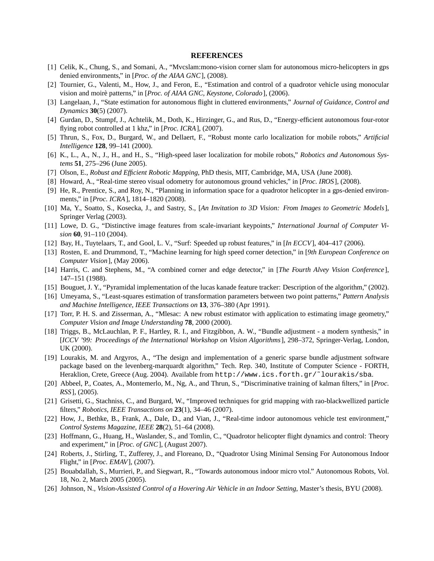## **REFERENCES**

- [1] Celik, K., Chung, S., and Somani, A., "Mvcslam:mono-vision corner slam for autonomous micro-helicopters in gps denied environments," in [*Proc. of the AIAA GNC*], (2008).
- [2] Tournier, G., Valenti, M., How, J., and Feron, E., "Estimation and control of a quadrotor vehicle using monocular vision and moirè patterns," in [Proc. of AIAA GNC, Keystone, Colorado], (2006).
- [3] Langelaan, J., "State estimation for autonomous flight in cluttered environments," *Journal of Guidance, Control and Dynamics* **30**(5) (2007).
- [4] Gurdan, D., Stumpf, J., Achtelik, M., Doth, K., Hirzinger, G., and Rus, D., "Energy-efficient autonomous four-rotor flying robot controlled at 1 khz," in [*Proc. ICRA*], (2007).
- [5] Thrun, S., Fox, D., Burgard, W., and Dellaert, F., "Robust monte carlo localization for mobile robots," *Artificial Intelligence* **128**, 99–141 (2000).
- [6] K., L., A., N., J., H., and H., S., "High-speed laser localization for mobile robots," *Robotics and Autonomous Systems* **51**, 275–296 (June 2005).
- [7] Olson, E., *Robust and Efficient Robotic Mapping*, PhD thesis, MIT, Cambridge, MA, USA (June 2008).
- [8] Howard, A., "Real-time stereo visual odometry for autonomous ground vehicles," in [*Proc. IROS*], (2008).
- [9] He, R., Prentice, S., and Roy, N., "Planning in information space for a quadrotor helicopter in a gps-denied environments," in [*Proc. ICRA*], 1814–1820 (2008).
- [10] Ma, Y., Soatto, S., Kosecka, J., and Sastry, S., [*An Invitation to 3D Vision: From Images to Geometric Models*], Springer Verlag (2003).
- [11] Lowe, D. G., "Distinctive image features from scale-invariant keypoints," *International Journal of Computer Vision* **60**, 91–110 (2004).
- [12] Bay, H., Tuytelaars, T., and Gool, L. V., "Surf: Speeded up robust features," in [*In ECCV*], 404–417 (2006).
- [13] Rosten, E. and Drummond, T., "Machine learning for high speed corner detection," in [*9th European Conference on Computer Vision*], (May 2006).
- [14] Harris, C. and Stephens, M., "A combined corner and edge detector," in [*The Fourth Alvey Vision Conference*], 147–151 (1988).
- [15] Bouguet, J. Y., "Pyramidal implementation of the lucas kanade feature tracker: Description of the algorithm," (2002).
- [16] Umeyama, S., "Least-squares estimation of transformation parameters between two point patterns," *Pattern Analysis and Machine Intelligence, IEEE Transactions on* **13**, 376–380 (Apr 1991).
- [17] Torr, P. H. S. and Zisserman, A., "Mlesac: A new robust estimator with application to estimating image geometry," *Computer Vision and Image Understanding* **78**, 2000 (2000).
- [18] Triggs, B., McLauchlan, P. F., Hartley, R. I., and Fitzgibbon, A. W., "Bundle adjustment a modern synthesis," in [*ICCV '99: Proceedings of the International Workshop on Vision Algorithms*], 298–372, Springer-Verlag, London, UK (2000).
- [19] Lourakis, M. and Argyros, A., "The design and implementation of a generic sparse bundle adjustment software package based on the levenberg-marquardt algorithm," Tech. Rep. 340, Institute of Computer Science - FORTH, Heraklion, Crete, Greece (Aug. 2004). Available from http://www.ics.forth.gr/˜lourakis/sba.
- [20] Abbeel, P., Coates, A., Montemerlo, M., Ng, A., and Thrun, S., "Discriminative training of kalman filters," in [*Proc. RSS*], (2005).
- [21] Grisetti, G., Stachniss, C., and Burgard, W., "Improved techniques for grid mapping with rao-blackwellized particle filters," *Robotics, IEEE Transactions on* **23**(1), 34–46 (2007).
- [22] How, J., Bethke, B., Frank, A., Dale, D., and Vian, J., "Real-time indoor autonomous vehicle test environment," *Control Systems Magazine, IEEE* **28**(2), 51–64 (2008).
- [23] Hoffmann, G., Huang, H., Waslander, S., and Tomlin, C., "Quadrotor helicopter flight dynamics and control: Theory and experiment," in [*Proc. of GNC*], (August 2007).
- [24] Roberts, J., Stirling, T., Zufferey, J., and Floreano, D., "Quadrotor Using Minimal Sensing For Autonomous Indoor Flight," in [*Proc. EMAV*], (2007).
- [25] Bouabdallah, S., Murrieri, P., and Siegwart, R., "Towards autonomous indoor micro vtol." Autonomous Robots, Vol. 18, No. 2, March 2005 (2005).
- [26] Johnson, N., *Vision-Assisted Control of a Hovering Air Vehicle in an Indoor Setting*, Master's thesis, BYU (2008).